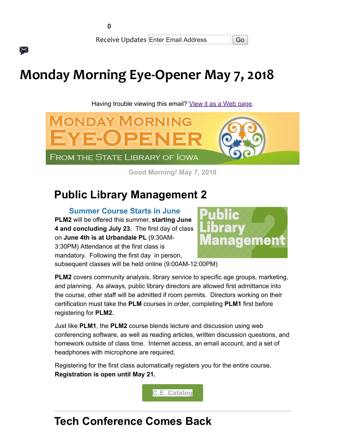╳

Receive Updates Enter Email Address | Go

# Monday Morning Eye-Opener May 7, 2018

Having trouble viewing this email? [View it as a Web page.](https://content.govdelivery.com/accounts/IACIO/bulletins/1ee8c34)



Good Morning! May 7, 2018

## Public Library Management 2

Summer Course Starts in June PLM2 will be offered this summer, starting June 4 and concluding July 23. The first day of class on June 4th is at Urbandale PL (9:30AM-3:30PM) Attendance at the first class is mandatory. Following the first day in person,



subsequent classes will be held online (9:00AM-12:00PM)

PLM2 covers community analysis, library service to specific age groups, marketing, and planning. As always, public library directors are allowed first admittance into the course, other staff will be admitted if room permits. Directors working on their certification must take the PLM courses in order, completing PLM1 first before registering for PLM2.

Just like PLM1, the PLM2 course blends lecture and discussion using web conferencing software, as well as reading articles, written discussion questions, and homework outside of class time. Internet access, an email account, and a set of headphones with microphone are required.

Registering for the first class automatically registers you for the entire course. Registration is open until May 21.



### Tech Conference Comes Back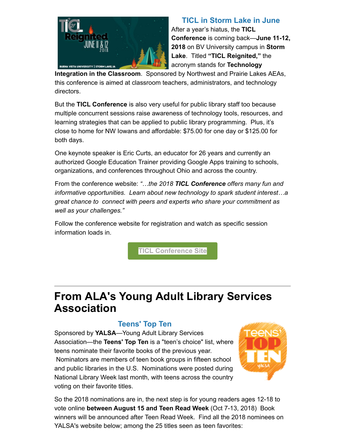

TICL in Storm Lake in June After a year's hiatus, the TICL Conference is coming back—June 11-12, 2018 on BV University campus in Storm Lake. Titled "TICL Reignited," the acronym stands for Technology

Integration in the Classroom. Sponsored by Northwest and Prairie Lakes AEAs, this conference is aimed at classroom teachers, administrators, and technology directors.

But the TICL Conference is also very useful for public library staff too because multiple concurrent sessions raise awareness of technology tools, resources, and learning strategies that can be applied to public library programming. Plus, it's close to home for NW Iowans and affordable: \$75.00 for one day or \$125.00 for both days.

One keynote speaker is Eric Curts, an educator for 26 years and currently an authorized Google Education Trainer providing Google Apps training to schools, organizations, and conferences throughout Ohio and across the country.

From the conference website: "...the 2018 TICL Conference offers many fun and informative opportunities. Learn about new technology to spark student interest…a great chance to connect with peers and experts who share your commitment as well as your challenges."

Follow the conference website for registration and watch as specific session information loads in.

[TICL Conference Site](http://ticl-ia.org/?utm_medium=email&utm_source=govdelivery)

### From ALA's Young Adult Library Services Association

#### Teens' Top Ten

Sponsored by YALSA—Young Adult Library Services Association—the Teens' Top Ten is a "teen's choice" list, where teens nominate their favorite books of the previous year. Nominators are members of teen book groups in fifteen school and public libraries in the U.S. Nominations were posted during National Library Week last month, with teens across the country voting on their favorite titles.



So the 2018 nominations are in, the next step is for young readers ages 12-18 to vote online between August 15 and Teen Read Week (Oct 7-13, 2018) Book winners will be announced after Teen Read Week. Find all the 2018 nominees on YALSA's website below; among the 25 titles seen as teen favorites: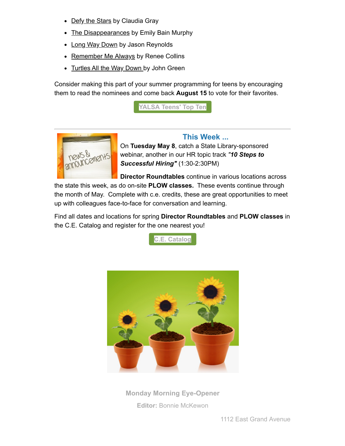- Defy the Stars by Claudia Gray
- The Disappearances by Emily Bain Murphy
- Long Way Down by Jason Reynolds
- Remember Me Always by Renee Collins
- Turtles All the Way Down by John Green

Consider making this part of your summer programming for teens by encouraging them to read the nominees and come back August 15 to vote for their favorites.





#### This Week ...

On Tuesday May 8, catch a State Library-sponsored webinar, another in our HR topic track "10 Steps to Successful Hiring" (1:30-2:30PM)

Director Roundtables continue in various locations across the state this week, as do on-site PLOW classes. These events continue through the month of May. Complete with c.e. credits, these are great opportunities to meet up with colleagues face-to-face for conversation and learning.

Find all dates and locations for spring Director Roundtables and PLOW classes in the C.E. Catalog and register for the one nearest you!





Monday Morning Eye-Opener Editor: [Bonnie McKewon](mailto:bonnie.mckewon@iowa.gov)